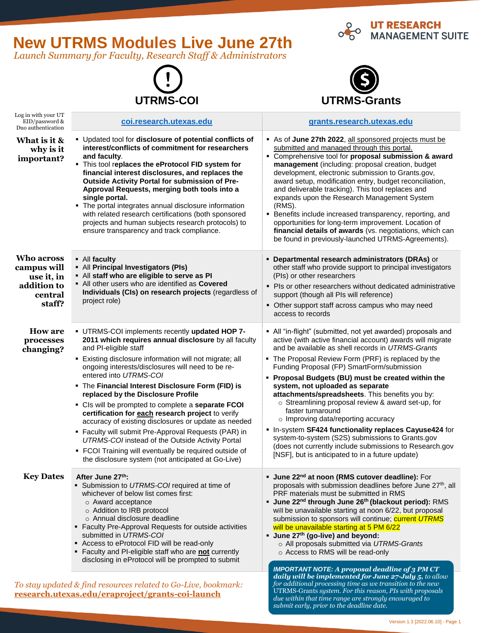# **New UTRMS Modules Live June 27th**

*Launch Summary for Faculty, Research Staff & Administrators*

**[research.utexas.edu/eraproject/grants-coi-launch](file:///C:/Users/swc532/Desktop/Working%20Files/Grants%20Outreach-Training%20Content%20Files/research.utexas.edu/eraproject/grants-coi-launch)**

Log in with your UT





**O UT RESEARCH<br>OG MANAGEMENT SUITE** 

| EID/password &<br>Duo authentication                                                                      | coi.research.utexas.edu                                                                                                                                                                                                                                                                                                                                                                                                                                                                                                                                                                                                                                                                                                                                             | grants.research.utexas.edu                                                                                                                                                                                                                                                                                                                                                                                                                                                                                                                                                                                                                                                                                                                                                       |
|-----------------------------------------------------------------------------------------------------------|---------------------------------------------------------------------------------------------------------------------------------------------------------------------------------------------------------------------------------------------------------------------------------------------------------------------------------------------------------------------------------------------------------------------------------------------------------------------------------------------------------------------------------------------------------------------------------------------------------------------------------------------------------------------------------------------------------------------------------------------------------------------|----------------------------------------------------------------------------------------------------------------------------------------------------------------------------------------------------------------------------------------------------------------------------------------------------------------------------------------------------------------------------------------------------------------------------------------------------------------------------------------------------------------------------------------------------------------------------------------------------------------------------------------------------------------------------------------------------------------------------------------------------------------------------------|
| What is it &<br>why is it<br>important?                                                                   | • Updated tool for disclosure of potential conflicts of<br>interest/conflicts of commitment for researchers<br>and faculty.<br>. This tool replaces the eProtocol FID system for<br>financial interest disclosures, and replaces the<br>Outside Activity Portal for submission of Pre-<br>Approval Requests, merging both tools into a<br>single portal.<br>• The portal integrates annual disclosure information<br>with related research certifications (both sponsored<br>projects and human subjects research protocols) to<br>ensure transparency and track compliance.                                                                                                                                                                                        | As of June 27th 2022, all sponsored projects must be<br>submitted and managed through this portal.<br>• Comprehensive tool for proposal submission & award<br>management (including: proposal creation, budget<br>development, electronic submission to Grants.gov,<br>award setup, modification entry, budget reconciliation,<br>and deliverable tracking). This tool replaces and<br>expands upon the Research Management System<br>(RMS).<br>• Benefits include increased transparency, reporting, and<br>opportunities for long-term improvement. Location of<br>financial details of awards (vs. negotiations, which can<br>be found in previously-launched UTRMS-Agreements).                                                                                              |
| Who across<br>campus will<br>use it, in<br>addition to<br>central<br>staff?                               | • All faculty<br>• All Principal Investigators (PIs)<br>. All staff who are eligible to serve as PI<br>• All other users who are identified as Covered<br>Individuals (CIs) on research projects (regardless of<br>project role)                                                                                                                                                                                                                                                                                                                                                                                                                                                                                                                                    | • Departmental research administrators (DRAs) or<br>other staff who provide support to principal investigators<br>(PIs) or other researchers<br>• Pls or other researchers without dedicated administrative<br>support (though all PIs will reference)<br>• Other support staff across campus who may need<br>access to records                                                                                                                                                                                                                                                                                                                                                                                                                                                  |
| <b>How are</b><br>processes<br>changing?                                                                  | - UTRMS-COI implements recently updated HOP 7-<br>2011 which requires annual disclosure by all faculty<br>and PI-eligible staff<br>• Existing disclosure information will not migrate; all<br>ongoing interests/disclosures will need to be re-<br>entered into UTRMS-COI<br>• The Financial Interest Disclosure Form (FID) is<br>replaced by the Disclosure Profile<br>• Cls will be prompted to complete a separate FCOI<br>certification for each research project to verify<br>accuracy of existing disclosures or update as needed<br>" Faculty will submit Pre-Approval Requests (PAR) in<br>UTRMS-COI instead of the Outside Activity Portal<br>• FCOI Training will eventually be required outside of<br>the disclosure system (not anticipated at Go-Live) | • All "in-flight" (submitted, not yet awarded) proposals and<br>active (with active financial account) awards will migrate<br>and be available as shell records in UTRMS-Grants<br>• The Proposal Review Form (PRF) is replaced by the<br>Funding Proposal (FP) SmartForm/submission<br>• Proposal Budgets (BU) must be created within the<br>system, not uploaded as separate<br>attachments/spreadsheets. This benefits you by:<br>o Streamlining proposal review & award set-up, for<br>faster turnaround<br>o Improving data/reporting accuracy<br>. In-system SF424 functionality replaces Cayuse424 for<br>system-to-system (S2S) submissions to Grants.gov<br>(does not currently include submissions to Research.gov<br>[NSF], but is anticipated to in a future update) |
| <b>Key Dates</b>                                                                                          | After June 27th:<br>Submission to UTRMS-COI required at time of<br>whichever of below list comes first:<br>○ Award acceptance<br>o Addition to IRB protocol<br>○ Annual disclosure deadline<br>• Faculty Pre-Approval Requests for outside activities<br>submitted in UTRMS-COI<br>Access to eProtocol FID will be read-only<br>• Faculty and PI-eligible staff who are not currently<br>disclosing in eProtocol will be prompted to submit                                                                                                                                                                                                                                                                                                                         | <b>June 22<sup>nd</sup> at noon (RMS cutover deadline):</b> For<br>proposals with submission deadlines before June 27th, all<br>PRF materials must be submitted in RMS<br>• June 22 <sup>nd</sup> through June 26 <sup>th</sup> (blackout period): RMS<br>will be unavailable starting at noon 6/22, but proposal<br>submission to sponsors will continue; current UTRMS<br>will be unavailable starting at 5 PM 6/22<br>• June 27th (go-live) and beyond:<br>o All proposals submitted via UTRMS-Grants<br>○ Access to RMS will be read-only<br><b>IMPORTANT NOTE:</b> A proposal deadline of $3$ PM CT<br>daily will be implemented for June 27-July 5, to allow                                                                                                               |
| To stay updated & find resources related to Go-Live, bookmark:<br>utovas edu (enermiest creats est leureb |                                                                                                                                                                                                                                                                                                                                                                                                                                                                                                                                                                                                                                                                                                                                                                     | for additional processing time as we transition to the new<br>UTRMS-Grants system. For this reason, PIs with proposals                                                                                                                                                                                                                                                                                                                                                                                                                                                                                                                                                                                                                                                           |

Version 1.3 [2022.06.10] - Page 1

*due within that time range are strongly encouraged to*

*submit early, prior to the deadline date.*